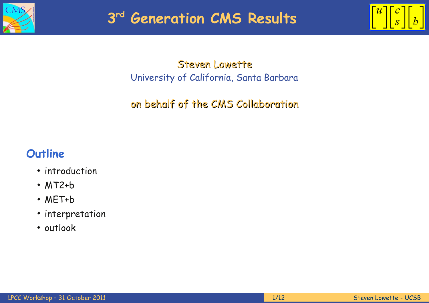



Steven Lowette University of California, Santa Barbara

on behalf of the CMS Collaboration

### **Outline**

- introduction
- MT2+b
- MET+b
- interpretation
- outlook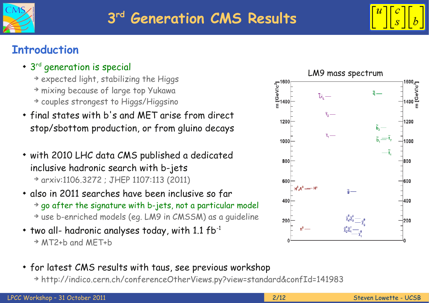



# **Introduction**

- $\cdot$  3<sup>rd</sup> generation is special
	- ➔ expected light, stabilizing the Higgs ➔ mixing because of large top Yukawa ➔ couples strongest to Higgs/Higgsino
- final states with b's and MET arise from direct stop/sbottom production, or from gluino decays
- with 2010 LHC data CMS published a dedicated inclusive hadronic search with b-jets ➔ arxiv:1106.3272 ; JHEP 1107:113 (2011)
- also in 2011 searches have been inclusive so far ➔ go after the signature with b-jets, not a particular model ➔ use b-enriched models (eg. LM9 in CMSSM) as a guideline
- $*$  two all- hadronic analyses today, with 1.1 fb<sup>-1</sup> ➔ MT2+b and MET+b
- for latest CMS results with taus, see previous workshop
	- ➔ http://indico.cern.ch/conferenceOtherViews.py?view=standard&confId=141983

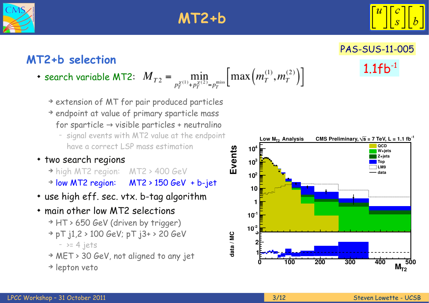

# **MT2+b**



[PAS-SUS-11-005](http://cdsweb.cern.ch/record/1377032?ln=en)

1.1fb-1

# **MT2+b selection**

- search variable MT2:  $M_{T2} = \min_{p_T^{\chi(1)} + p_T^{\chi(2)} = p_T^{\text{miss}}} \left[ \max \left( m_T^{(1)}, m_T^{(2)} \right) \right]$ 
	- ➔ extension of MT for pair produced particles
	- ➔ endpoint at value of primary sparticle mass for sparticle  $\rightarrow$  visible particles + neutralino
		- signal events with MT2 value at the endpoint have a correct LSP mass estimation
- two search regions
	- ➔ high MT2 region: MT2 > 400 GeV ➔ low MT2 region: MT2 > 150 GeV + b-jet
- use high eff. sec. vtx. b-tag algorithm
- main other low MT2 selections ➔ HT > 650 GeV (driven by trigger) ➔ pT j1,2 > 100 GeV; pT j3+ > 20 GeV  $-$  >= 4 jets
	- ➔ MET > 30 GeV, not aligned to any jet
	- ➔ lepton veto

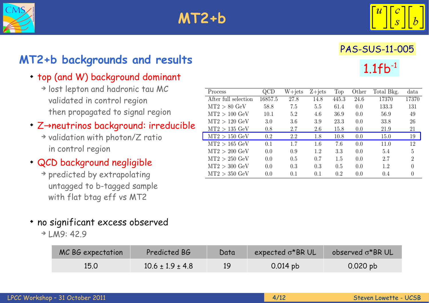



# [PAS-SUS-11-005](http://cdsweb.cern.ch/record/1377032?ln=en)  $1.1fb^{-1}$

# **MT2+b backgrounds and results**

#### • top (and W) background dominant

- ➔ lost lepton and hadronic tau MC validated in control region then propagated to signal region
- ◆ Z→neutrinos background: irreducible
	- ➔ validation with photon/Z ratio in control region
- QCD background negligible
	- ➔ predicted by extrapolating untagged to b-tagged sample with flat btag eff vs MT2

| Process               | QCD     | W+jets  | $Z + jets$ | Top     | Other | Total Bkg. | data  |
|-----------------------|---------|---------|------------|---------|-------|------------|-------|
| After full selection  | 16857.5 | 27.8    | 14.8       | 445.3   | 24.6  | 17370      | 17370 |
| $MT2 > 80$ GeV        | 58.8    | 7.5     | 5.5        | 61.4    | 0.0   | 133.3      | 131   |
| $MT2 > 100$ GeV       | 10.1    | $5.2\,$ | 4.6        | 36.9    | 0.0   | 56.9       | 49    |
| $MT2 > 120$ GeV       | 3.0     | 3.6     | 3.9        | 23.3    | 0.0   | 33.8       | 26    |
| $MT2 > 135$ GeV       | 0.8     | 2.7     | 2.6        | 15.8    | 0.0   | 21.9       | 21    |
| $MT2 > 150~{\rm GeV}$ | 0.2     | $2.2\,$ | 1.8        | 10.8    | 0.0   | 15.0       | 19    |
| $MT2 > 165$ GeV       | 0.1     | 1.7     | $1.6\,$    | 7.6     | 0.0   | 11.0       | 12    |
| $MT2 > 200$ GeV       | 0.0     | 0.9     | $1.2\,$    | 3.3     | 0.0   | 5.4        | 5     |
| $MT2 > 250$ GeV       | 0.0     | 0.5     | 0.7        | $1.5\,$ | 0.0   | 2.7        | 2     |
| $MT2 > 300$ GeV       | 0.0     | 0.3     | 0.3        | 0.5     | 0.0   | $1.2\,$    |       |
| $MT2 > 350~{\rm GeV}$ | 0.0     | 0.1     | $_{0.1}$   | 0.2     | 0.0   | 0.4        |       |

- no significant excess observed
	- ➔ LM9: 42.9

| MC BG expectation | Predicted BG           | Data | expected $\sigma$ *BRUL | observed $\sigma$ *BR UL |
|-------------------|------------------------|------|-------------------------|--------------------------|
| 15.0              | $10.6 \pm 1.9 \pm 4.8$ | 19   | $0.014$ pb              | $0.020$ pb               |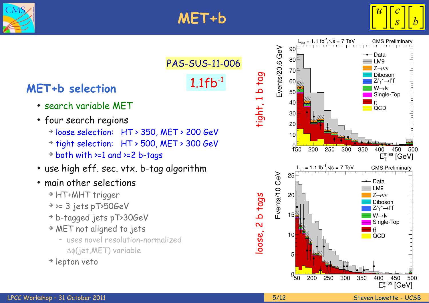



[PAS-SUS-11-006](http://cdsweb.cern.ch/record/1390493)

1.1fb-1

# **MET+b selection**

- search variable MET
- four search regions
	- ➔ loose selection: HT > 350, MET > 200 GeV
	- ➔ tight selection: HT > 500, MET > 300 GeV
	- ➔ both with >=1 and >=2 b-tags
- use high eff. sec. vtx. b-tag algorithm
- main other selections
	- ➔ HT+MHT trigger
	- ➔ >= 3 jets pT>50GeV
	- ➔ b-tagged jets pT>30GeV
	- ➔ MET not aligned to jets
		- uses novel resolution-normalized  $\Delta\phi$ (jet, MET) variable
	- ➔ lepton veto

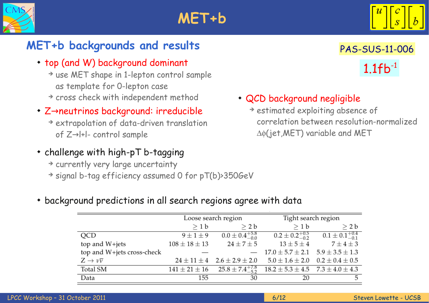



# **MET+b backgrounds and results**

- top (and W) background dominant
	- ➔ use MET shape in 1-lepton control sample as template for 0-lepton case
	- ➔ cross check with independent method

### ◆ Z→neutrinos background: irreducible

- ➔ extrapolation of data-driven translation of  $Z \rightarrow$  I+I- control sample
- challenge with high-pT b-tagging
	- ➔ currently very large uncertainty
	- ➔ signal b-tag efficiency assumed 0 for pT(b)>350GeV

# $1.1fb^{-1}$ [PAS-SUS-11-006](http://cdsweb.cern.ch/record/1390493)

### QCD background negligible

➔ estimated exploiting absence of correlation between resolution-normalized  $\Delta\phi$ (jet, MET) variable and MET

#### background predictions in all search regions agree with data

|                            |                     | Loose search region                     | Tight search region                          |                             |  |
|----------------------------|---------------------|-----------------------------------------|----------------------------------------------|-----------------------------|--|
|                            | >1 b                | > 2 b                                   | >1 b                                         | $\geq 2 b$                  |  |
| QCD                        | $9 \pm 1 \pm 9$     | $0.0 \pm 0.4^{+5.8}_{-0.0}$             | $0.2 \pm 0.2^{+0.5}_{-0.2}$                  | $0.1 \pm 0.1^{+0.4}_{-0.1}$ |  |
| top and $W+jets$           | $108 \pm 18 \pm 13$ | $24 \pm 7 \pm 5$                        | $13 \pm 5 \pm 4$                             | $7 \pm 4 \pm 3$             |  |
| top and W+jets cross-check |                     |                                         | $17.0 \pm 5.7 \pm 2.1$ $5.9 \pm 3.5 \pm 1.3$ |                             |  |
| $Z \to \nu \overline{\nu}$ |                     | $24 \pm 11 \pm 4$ $2.6 \pm 2.9 \pm 2.0$ | $5.0 \pm 1.6 \pm 2.0$                        | $0.2 \pm 0.4 \pm 0.5$       |  |
| Total SM                   | $141 \pm 21 \pm 16$ | $25.8 \pm 7.4^{+7.8}_{-5.2}$            | $18.2 \pm 5.3 \pm 4.5$ $7.3 \pm 4.0 \pm 4.3$ |                             |  |
| Data                       | 155                 | 30                                      | 20                                           | 5                           |  |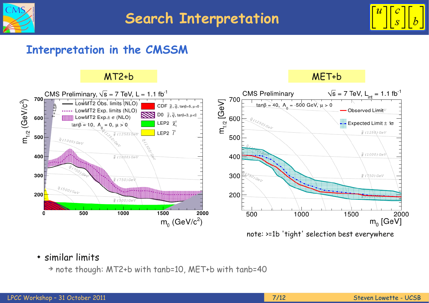



### **Interpretation in the CMSSM**

#### MT2+b MET+b



#### similar limits

➔ note though: MT2+b with tanb=10, MET+b with tanb=40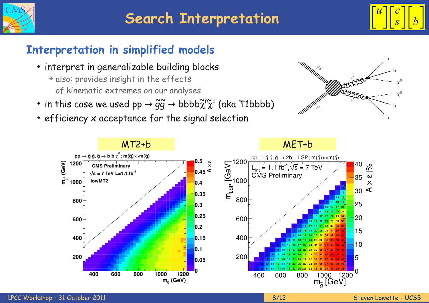



# **Interpretation in simplified models**

- interpret in generalizable building blocks
	- ➔ also: provides insight in the effects of kinematic extremes on our analyses
- $\bullet$  in this case we used pp  $\rightarrow \widetilde{g}\widetilde{g} \rightarrow b b b b \widetilde{\chi}^0 \widetilde{\chi}^0$  (aka T1bbbb)
- efficiency x acceptance for the signal selection



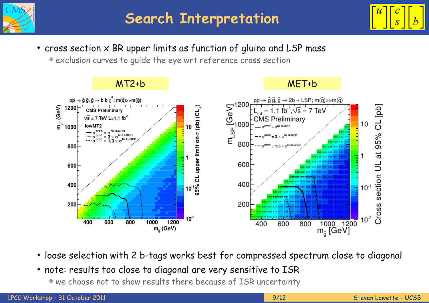



cross section x BR upper limits as function of gluino and LSP mass

➔ exclusion curves to guide the eye wrt reference cross section



- loose selection with 2 b-tags works best for compressed spectrum close to diagonal
- note: results too close to diagonal are very sensitive to ISR
	- ➔ we choose not to show results there because of ISR uncertainty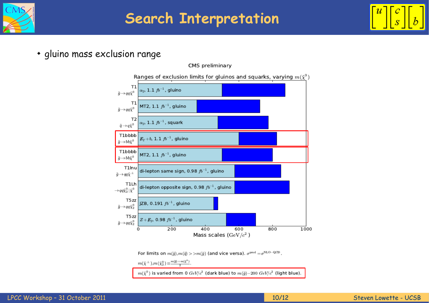

# **Search Interpretation**



gluino mass exclusion range



For limits on  $m(\tilde{g}), m(\tilde{q}) > > m(\tilde{g})$  (and vice versa).  $\sigma^{\text{prod}} = \sigma^{\text{NLO-QCD}}$ .

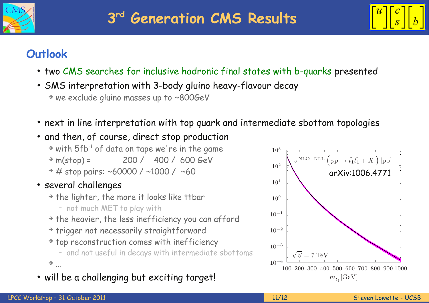



### **Outlook**

- two CMS searches for inclusive hadronic final states with b-quarks presented
- SMS interpretation with 3-body gluino heavy-flavour decay ➔ we exclude gluino masses up to ~800GeV
- next in line interpretation with top quark and intermediate sbottom topologies
- and then, of course, direct stop production

 $\rightarrow$  with 5fb<sup>-1</sup> of data on tape we're in the game ➔ m(stop) = 200 / 400 / 600 GeV  $\rightarrow$  # stop pairs: ~60000 / ~1000 / ~60

- several challenges
	- ➔ the lighter, the more it looks like ttbar
		- not much MET to play with
	- ➔ the heavier, the less inefficiency you can afford
	- ➔ trigger not necessarily straightforward
	- ➔ top reconstruction comes with inefficiency
	- and not useful in decays with intermediate sbottoms  $\rightarrow$   $_{\ldots}$
- will be a challenging but exciting target!